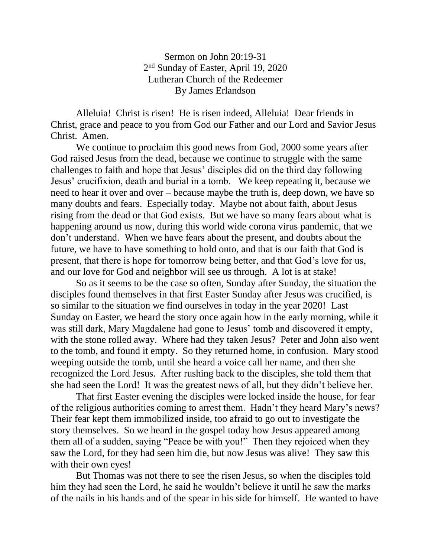Sermon on John 20:19-31 2<sup>nd</sup> Sunday of Easter, April 19, 2020 Lutheran Church of the Redeemer By James Erlandson

Alleluia! Christ is risen! He is risen indeed, Alleluia! Dear friends in Christ, grace and peace to you from God our Father and our Lord and Savior Jesus Christ. Amen.

We continue to proclaim this good news from God, 2000 some years after God raised Jesus from the dead, because we continue to struggle with the same challenges to faith and hope that Jesus' disciples did on the third day following Jesus' crucifixion, death and burial in a tomb. We keep repeating it, because we need to hear it over and over – because maybe the truth is, deep down, we have so many doubts and fears. Especially today. Maybe not about faith, about Jesus rising from the dead or that God exists. But we have so many fears about what is happening around us now, during this world wide corona virus pandemic, that we don't understand. When we have fears about the present, and doubts about the future, we have to have something to hold onto, and that is our faith that God is present, that there is hope for tomorrow being better, and that God's love for us, and our love for God and neighbor will see us through. A lot is at stake!

So as it seems to be the case so often, Sunday after Sunday, the situation the disciples found themselves in that first Easter Sunday after Jesus was crucified, is so similar to the situation we find ourselves in today in the year 2020! Last Sunday on Easter, we heard the story once again how in the early morning, while it was still dark, Mary Magdalene had gone to Jesus' tomb and discovered it empty, with the stone rolled away. Where had they taken Jesus? Peter and John also went to the tomb, and found it empty. So they returned home, in confusion. Mary stood weeping outside the tomb, until she heard a voice call her name, and then she recognized the Lord Jesus. After rushing back to the disciples, she told them that she had seen the Lord! It was the greatest news of all, but they didn't believe her.

That first Easter evening the disciples were locked inside the house, for fear of the religious authorities coming to arrest them. Hadn't they heard Mary's news? Their fear kept them immobilized inside, too afraid to go out to investigate the story themselves. So we heard in the gospel today how Jesus appeared among them all of a sudden, saying "Peace be with you!" Then they rejoiced when they saw the Lord, for they had seen him die, but now Jesus was alive! They saw this with their own eyes!

But Thomas was not there to see the risen Jesus, so when the disciples told him they had seen the Lord, he said he wouldn't believe it until he saw the marks of the nails in his hands and of the spear in his side for himself. He wanted to have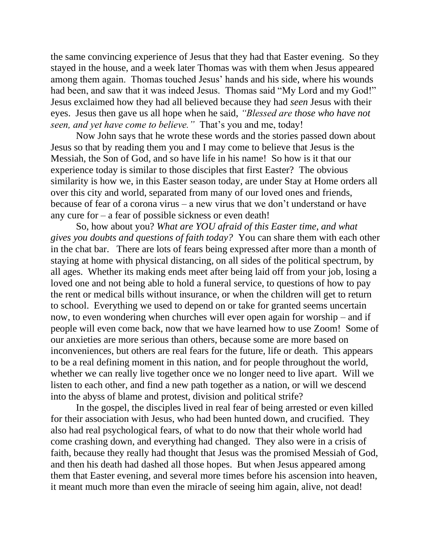the same convincing experience of Jesus that they had that Easter evening. So they stayed in the house, and a week later Thomas was with them when Jesus appeared among them again. Thomas touched Jesus' hands and his side, where his wounds had been, and saw that it was indeed Jesus. Thomas said "My Lord and my God!" Jesus exclaimed how they had all believed because they had *seen* Jesus with their eyes. Jesus then gave us all hope when he said, *"Blessed are those who have not seen, and yet have come to believe."* That's you and me, today!

Now John says that he wrote these words and the stories passed down about Jesus so that by reading them you and I may come to believe that Jesus is the Messiah, the Son of God, and so have life in his name! So how is it that our experience today is similar to those disciples that first Easter? The obvious similarity is how we, in this Easter season today, are under Stay at Home orders all over this city and world, separated from many of our loved ones and friends, because of fear of a corona virus – a new virus that we don't understand or have any cure for – a fear of possible sickness or even death!

So, how about you? *What are YOU afraid of this Easter time, and what gives you doubts and questions of faith today?* You can share them with each other in the chat bar. There are lots of fears being expressed after more than a month of staying at home with physical distancing, on all sides of the political spectrum, by all ages. Whether its making ends meet after being laid off from your job, losing a loved one and not being able to hold a funeral service, to questions of how to pay the rent or medical bills without insurance, or when the children will get to return to school. Everything we used to depend on or take for granted seems uncertain now, to even wondering when churches will ever open again for worship – and if people will even come back, now that we have learned how to use Zoom! Some of our anxieties are more serious than others, because some are more based on inconveniences, but others are real fears for the future, life or death. This appears to be a real defining moment in this nation, and for people throughout the world, whether we can really live together once we no longer need to live apart. Will we listen to each other, and find a new path together as a nation, or will we descend into the abyss of blame and protest, division and political strife?

In the gospel, the disciples lived in real fear of being arrested or even killed for their association with Jesus, who had been hunted down, and crucified. They also had real psychological fears, of what to do now that their whole world had come crashing down, and everything had changed. They also were in a crisis of faith, because they really had thought that Jesus was the promised Messiah of God, and then his death had dashed all those hopes. But when Jesus appeared among them that Easter evening, and several more times before his ascension into heaven, it meant much more than even the miracle of seeing him again, alive, not dead!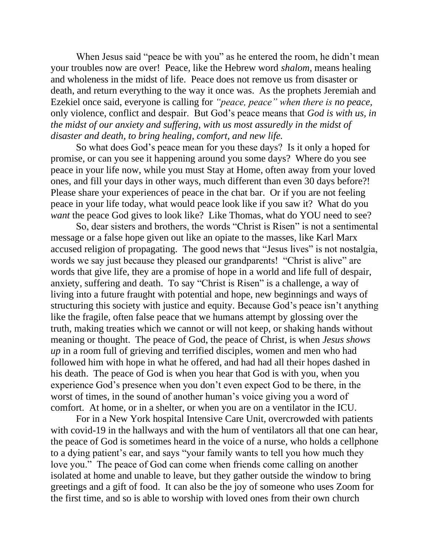When Jesus said "peace be with you" as he entered the room, he didn't mean your troubles now are over! Peace, like the Hebrew word *shalom,* means healing and wholeness in the midst of life. Peace does not remove us from disaster or death, and return everything to the way it once was. As the prophets Jeremiah and Ezekiel once said, everyone is calling for *"peace, peace" when there is no peace,* only violence, conflict and despair. But God's peace means that *God is with us, in the midst of our anxiety and suffering, with us most assuredly in the midst of disaster and death, to bring healing, comfort, and new life.*

So what does God's peace mean for you these days? Is it only a hoped for promise, or can you see it happening around you some days? Where do you see peace in your life now, while you must Stay at Home, often away from your loved ones, and fill your days in other ways, much different than even 30 days before?! Please share your experiences of peace in the chat bar. Or if you are not feeling peace in your life today, what would peace look like if you saw it? What do you *want* the peace God gives to look like? Like Thomas, what do YOU need to see?

So, dear sisters and brothers, the words "Christ is Risen" is not a sentimental message or a false hope given out like an opiate to the masses, like Karl Marx accused religion of propagating. The good news that "Jesus lives" is not nostalgia, words we say just because they pleased our grandparents! "Christ is alive" are words that give life, they are a promise of hope in a world and life full of despair, anxiety, suffering and death. To say "Christ is Risen" is a challenge, a way of living into a future fraught with potential and hope, new beginnings and ways of structuring this society with justice and equity. Because God's peace isn't anything like the fragile, often false peace that we humans attempt by glossing over the truth, making treaties which we cannot or will not keep, or shaking hands without meaning or thought. The peace of God, the peace of Christ, is when *Jesus shows up* in a room full of grieving and terrified disciples, women and men who had followed him with hope in what he offered, and had had all their hopes dashed in his death. The peace of God is when you hear that God is with you, when you experience God's presence when you don't even expect God to be there, in the worst of times, in the sound of another human's voice giving you a word of comfort. At home, or in a shelter, or when you are on a ventilator in the ICU.

For in a New York hospital Intensive Care Unit, overcrowded with patients with covid-19 in the hallways and with the hum of ventilators all that one can hear, the peace of God is sometimes heard in the voice of a nurse, who holds a cellphone to a dying patient's ear, and says "your family wants to tell you how much they love you." The peace of God can come when friends come calling on another isolated at home and unable to leave, but they gather outside the window to bring greetings and a gift of food. It can also be the joy of someone who uses Zoom for the first time, and so is able to worship with loved ones from their own church